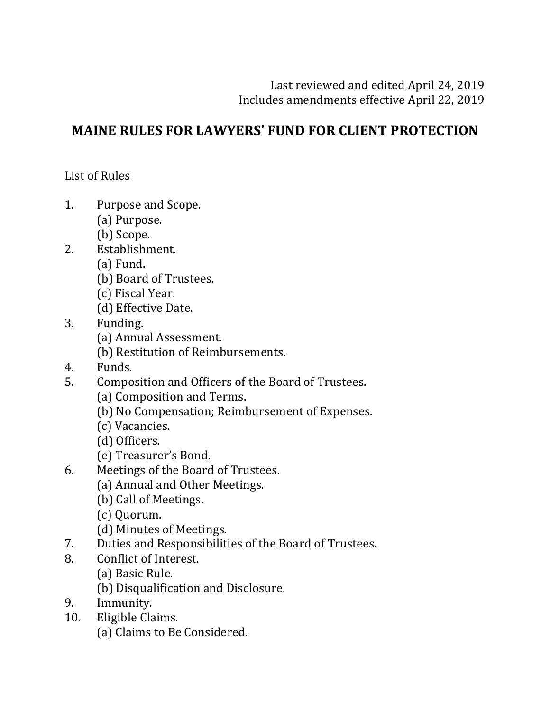# **MAINE RULES FOR LAWYERS' FUND FOR CLIENT PROTECTION**

List of Rules

- 1. Purpose and Scope.
	- (a) Purpose.
	- (b) Scope.
- 2. Establishment.
	- (a) Fund.
	- (b) Board of Trustees.
	- (c) Fiscal Year.
	- (d) Effective Date.
- 3. Funding.
	- (a) Annual Assessment.
	- (b) Restitution of Reimbursements.
- 4. Funds.
- 5. Composition and Officers of the Board of Trustees.
	- (a) Composition and Terms.
	- (b) No Compensation; Reimbursement of Expenses.
	- (c) Vacancies.
	- (d) Officers.
	- (e) Treasurer's Bond.
- 6. Meetings of the Board of Trustees.
	- (a) Annual and Other Meetings.
	- (b) Call of Meetings.
	- (c) Quorum.
	- (d) Minutes of Meetings.
- 7. Duties and Responsibilities of the Board of Trustees.
- 8. Conflict of Interest.
	- (a) Basic Rule.
	- (b) Disqualification and Disclosure.
- 9. Immunity.
- 10. Eligible Claims.
	- (a) Claims to Be Considered.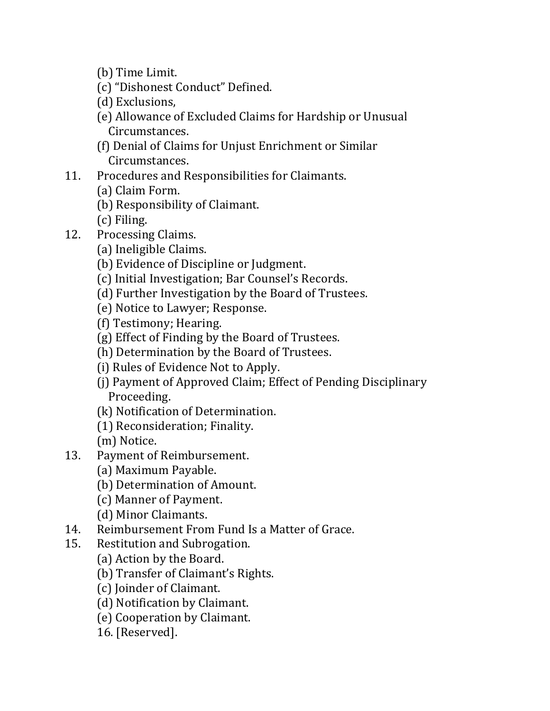- (b) Time Limit.
- (c) "Dishonest Conduct" Defined.
- (d) Exclusions,
- (e) Allowance of Excluded Claims for Hardship or Unusual Circumstances.
- (f) Denial of Claims for Unjust Enrichment or Similar Circumstances.
- 11. Procedures and Responsibilities for Claimants.
	- (a) Claim Form.
	- (b) Responsibility of Claimant.
	- (c) Filing.
- 12. Processing Claims.
	- (a) Ineligible Claims.
	- (b) Evidence of Discipline or Judgment.
	- (c) Initial Investigation; Bar Counsel's Records.
	- (d) Further Investigation by the Board of Trustees.
	- (e) Notice to Lawyer; Response.
	- (f) Testimony; Hearing.
	- (g) Effect of Finding by the Board of Trustees.
	- (h) Determination by the Board of Trustees.
	- (i) Rules of Evidence Not to Apply.
	- (i) Payment of Approved Claim; Effect of Pending Disciplinary Proceeding.
	- (k) Notification of Determination.
	- (1) Reconsideration; Finality.
	- (m) Notice.
- 13. Payment of Reimbursement.
	- (a) Maximum Payable.
	- (b) Determination of Amount.
	- (c) Manner of Payment.
	- (d) Minor Claimants.
- 14. Reimbursement From Fund Is a Matter of Grace.
- 15. Restitution and Subrogation.
	- (a) Action by the Board.
	- (b) Transfer of Claimant's Rights.
	- (c) Joinder of Claimant.
	- (d) Notification by Claimant.
	- (e) Cooperation by Claimant.
	- 16. [Reserved].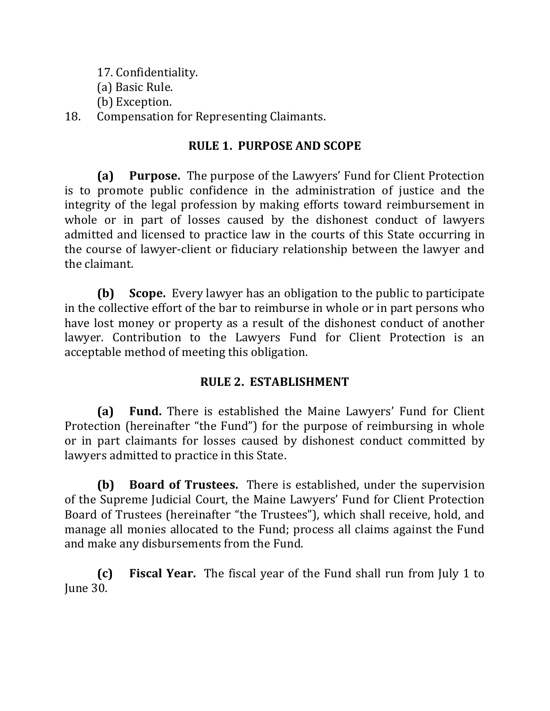- 17. Confidentiality.
- (a) Basic Rule.
- (b) Exception.

### 18. Compensation for Representing Claimants.

### **RULE 1. PURPOSE AND SCOPE**

**(a)** Purpose. The purpose of the Lawyers' Fund for Client Protection is to promote public confidence in the administration of justice and the integrity of the legal profession by making efforts toward reimbursement in whole or in part of losses caused by the dishonest conduct of lawyers admitted and licensed to practice law in the courts of this State occurring in the course of lawyer-client or fiduciary relationship between the lawyer and the claimant.

**(b) Scope.** Every lawyer has an obligation to the public to participate in the collective effort of the bar to reimburse in whole or in part persons who have lost money or property as a result of the dishonest conduct of another lawyer. Contribution to the Lawyers Fund for Client Protection is an acceptable method of meeting this obligation.

## **RULE 2. ESTABLISHMENT**

**(a)** Fund. There is established the Maine Lawyers' Fund for Client Protection (hereinafter "the Fund") for the purpose of reimbursing in whole or in part claimants for losses caused by dishonest conduct committed by lawyers admitted to practice in this State.

**(b)** Board of Trustees. There is established, under the supervision of the Supreme Judicial Court, the Maine Lawyers' Fund for Client Protection Board of Trustees (hereinafter "the Trustees"), which shall receive, hold, and manage all monies allocated to the Fund; process all claims against the Fund and make any disbursements from the Fund.

**(c)** Fiscal Year. The fiscal year of the Fund shall run from July 1 to June 30.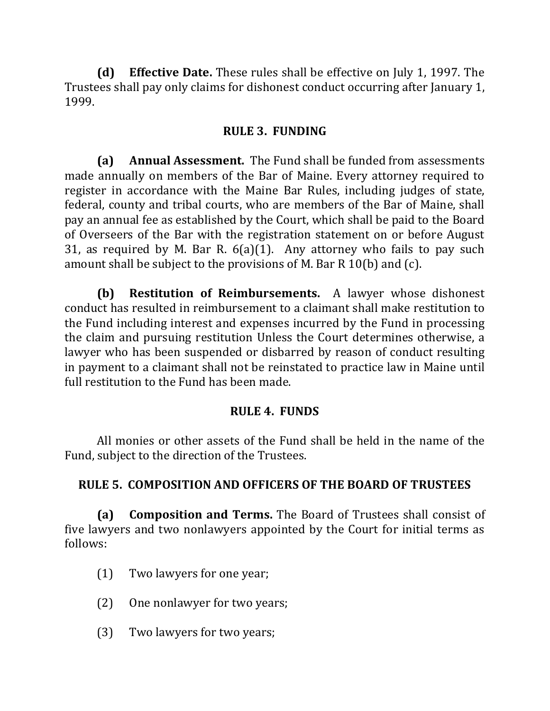**(d)** Effective Date. These rules shall be effective on July 1, 1997. The Trustees shall pay only claims for dishonest conduct occurring after January 1, 1999. 

### **RULE 3. FUNDING**

**(a)** Annual Assessment. The Fund shall be funded from assessments made annually on members of the Bar of Maine. Every attorney required to register in accordance with the Maine Bar Rules, including judges of state, federal, county and tribal courts, who are members of the Bar of Maine, shall pay an annual fee as established by the Court, which shall be paid to the Board of Overseers of the Bar with the registration statement on or before August 31, as required by M. Bar R.  $6(a)(1)$ . Any attorney who fails to pay such amount shall be subject to the provisions of M. Bar R 10(b) and  $(c)$ .

**(b) Restitution of Reimbursements.** A lawyer whose dishonest conduct has resulted in reimbursement to a claimant shall make restitution to the Fund including interest and expenses incurred by the Fund in processing the claim and pursuing restitution Unless the Court determines otherwise, a lawyer who has been suspended or disbarred by reason of conduct resulting in payment to a claimant shall not be reinstated to practice law in Maine until full restitution to the Fund has been made.

### **RULE 4. FUNDS**

All monies or other assets of the Fund shall be held in the name of the Fund, subject to the direction of the Trustees.

### **RULE 5. COMPOSITION AND OFFICERS OF THE BOARD OF TRUSTEES**

**(a)** Composition and Terms. The Board of Trustees shall consist of five lawyers and two nonlawyers appointed by the Court for initial terms as follows:

- (1) Two lawyers for one year;
- (2) One nonlawyer for two years;
- (3) Two lawyers for two years;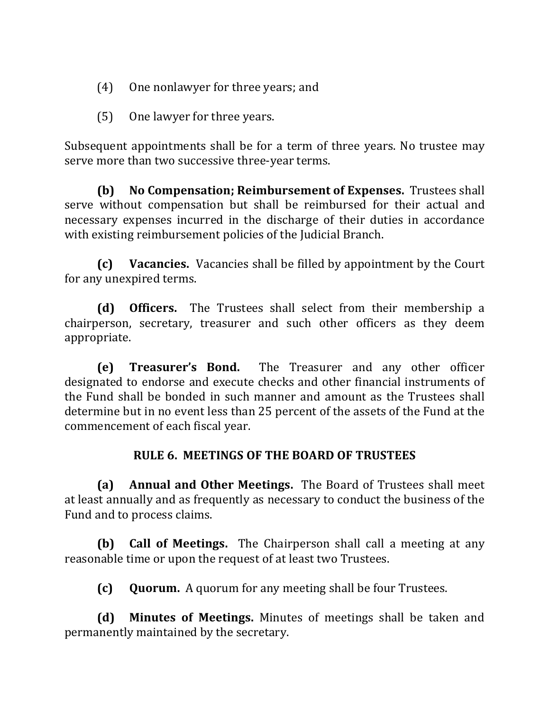- (4) One nonlawyer for three years; and
- (5) One lawyer for three years.

Subsequent appointments shall be for a term of three years. No trustee may serve more than two successive three-year terms.

**(b)** No Compensation; Reimbursement of Expenses. Trustees shall serve without compensation but shall be reimbursed for their actual and necessary expenses incurred in the discharge of their duties in accordance with existing reimbursement policies of the Judicial Branch.

**(c)** Vacancies. Vacancies shall be filled by appointment by the Court for any unexpired terms.

**(d)** Officers. The Trustees shall select from their membership a chairperson, secretary, treasurer and such other officers as they deem appropriate.

**(e) Treasurer's Bond.** The Treasurer and any other officer designated to endorse and execute checks and other financial instruments of the Fund shall be bonded in such manner and amount as the Trustees shall determine but in no event less than 25 percent of the assets of the Fund at the commencement of each fiscal year.

#### **RULE 6. MEETINGS OF THE BOARD OF TRUSTEES**

**(a) Annual and Other Meetings.** The Board of Trustees shall meet at least annually and as frequently as necessary to conduct the business of the Fund and to process claims.

**(b) Call of Meetings.** The Chairperson shall call a meeting at any reasonable time or upon the request of at least two Trustees.

**(c) Quorum.** A quorum for any meeting shall be four Trustees.

**(d)** Minutes of Meetings. Minutes of meetings shall be taken and permanently maintained by the secretary.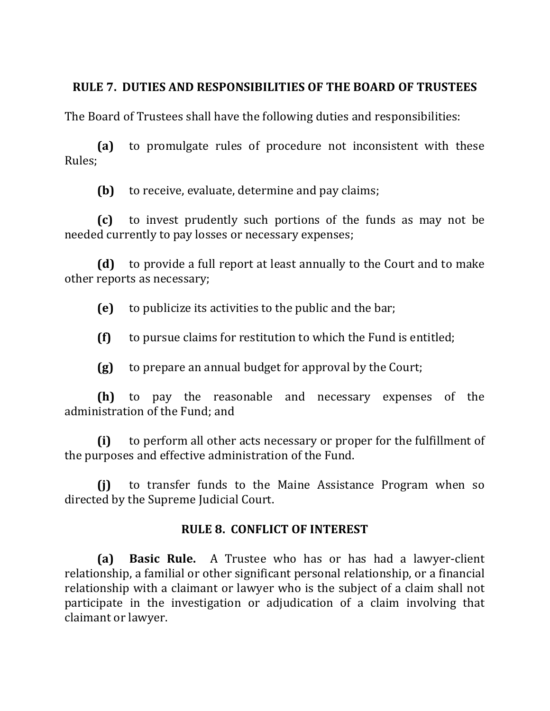### **RULE 7. DUTIES AND RESPONSIBILITIES OF THE BOARD OF TRUSTEES**

The Board of Trustees shall have the following duties and responsibilities:

**(a)** to promulgate rules of procedure not inconsistent with these Rules;

**(b)** to receive, evaluate, determine and pay claims;

**(c)** to invest prudently such portions of the funds as may not be needed currently to pay losses or necessary expenses;

**(d)** to provide a full report at least annually to the Court and to make other reports as necessary;

**(e)** to publicize its activities to the public and the bar;

 $(f)$  to pursue claims for restitution to which the Fund is entitled;

**(g)** to prepare an annual budget for approval by the Court;

**(h)** to pay the reasonable and necessary expenses of the administration of the Fund: and

**(i)** to perform all other acts necessary or proper for the fulfillment of the purposes and effective administration of the Fund.

**(i)** to transfer funds to the Maine Assistance Program when so directed by the Supreme Judicial Court.

### **RULE 8. CONFLICT OF INTEREST**

**(a) Basic Rule.** A Trustee who has or has had a lawyer-client relationship, a familial or other significant personal relationship, or a financial relationship with a claimant or lawyer who is the subject of a claim shall not participate in the investigation or adjudication of a claim involving that claimant or lawyer.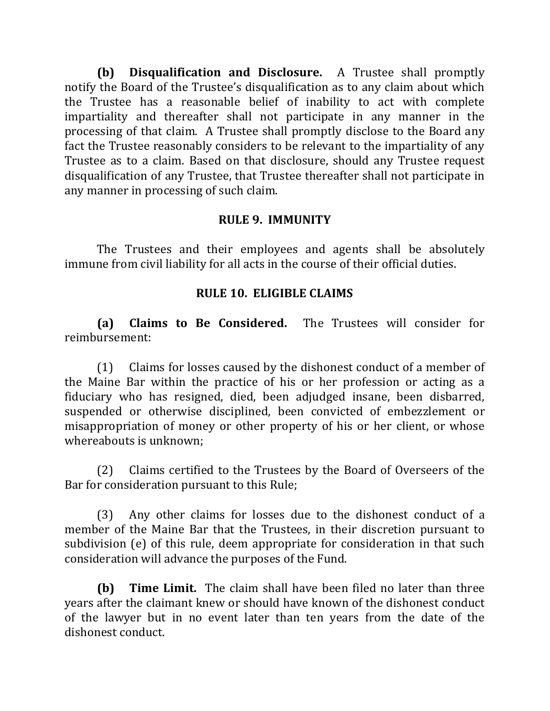**(b)** Disqualification and Disclosure. A Trustee shall promptly notify the Board of the Trustee's disqualification as to any claim about which the Trustee has a reasonable belief of inability to act with complete impartiality and thereafter shall not participate in any manner in the processing of that claim. A Trustee shall promptly disclose to the Board any fact the Trustee reasonably considers to be relevant to the impartiality of any Trustee as to a claim. Based on that disclosure, should any Trustee request disqualification of any Trustee, that Trustee thereafter shall not participate in any manner in processing of such claim.

#### **RULE 9. IMMUNITY**

The Trustees and their employees and agents shall be absolutely immune from civil liability for all acts in the course of their official duties.

### **RULE 10. ELIGIBLE CLAIMS**

**(a) Claims to Be Considered.** The Trustees will consider for reimbursement:

 $(1)$  Claims for losses caused by the dishonest conduct of a member of the Maine Bar within the practice of his or her profession or acting as a fiduciary who has resigned, died, been adjudged insane, been disbarred, suspended or otherwise disciplined, been convicted of embezzlement or misappropriation of money or other property of his or her client, or whose whereabouts is unknown:

(2) Claims certified to the Trustees by the Board of Overseers of the Bar for consideration pursuant to this Rule;

(3) Any other claims for losses due to the dishonest conduct of a member of the Maine Bar that the Trustees, in their discretion pursuant to subdivision (e) of this rule, deem appropriate for consideration in that such consideration will advance the purposes of the Fund.

**(b) Time Limit.** The claim shall have been filed no later than three years after the claimant knew or should have known of the dishonest conduct of the lawyer but in no event later than ten years from the date of the dishonest conduct.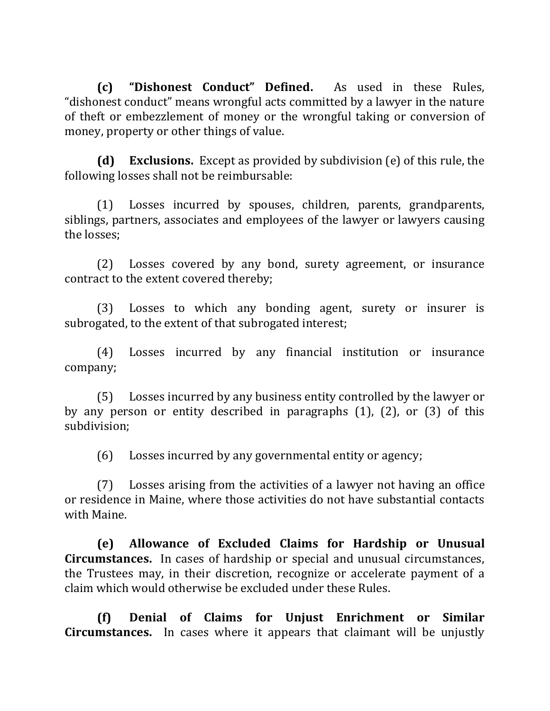**(c) "Dishonest Conduct" Defined.** As used in these Rules, "dishonest conduct" means wrongful acts committed by a lawyer in the nature of theft or embezzlement of money or the wrongful taking or conversion of money, property or other things of value.

**(d)** Exclusions. Except as provided by subdivision (e) of this rule, the following losses shall not be reimbursable:

(1) Losses incurred by spouses, children, parents, grandparents, siblings, partners, associates and employees of the lawyer or lawyers causing the losses:

(2) Losses covered by any bond, surety agreement, or insurance contract to the extent covered thereby;

(3) Losses to which any bonding agent, surety or insurer is subrogated, to the extent of that subrogated interest;

(4) Losses incurred by any financial institution or insurance company;

(5) Losses incurred by any business entity controlled by the lawyer or by any person or entity described in paragraphs  $(1)$ ,  $(2)$ , or  $(3)$  of this subdivision;

(6) Losses incurred by any governmental entity or agency;

 $(7)$  Losses arising from the activities of a lawyer not having an office or residence in Maine, where those activities do not have substantial contacts with Maine.

**(e) Allowance of Excluded Claims for Hardship or Unusual Circumstances.** In cases of hardship or special and unusual circumstances, the Trustees may, in their discretion, recognize or accelerate payment of a claim which would otherwise be excluded under these Rules.

**(f) Denial of Claims for Unjust Enrichment or Similar Circumstances.** In cases where it appears that claimant will be unjustly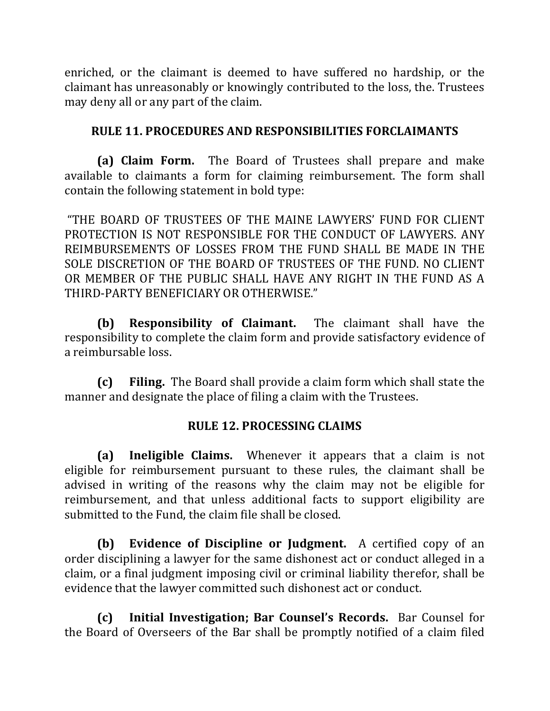enriched, or the claimant is deemed to have suffered no hardship, or the claimant has unreasonably or knowingly contributed to the loss, the. Trustees may deny all or any part of the claim.

#### **RULE 11. PROCEDURES AND RESPONSIBILITIES FORCLAIMANTS**

**(a) Claim Form.** The Board of Trustees shall prepare and make available to claimants a form for claiming reimbursement. The form shall contain the following statement in bold type:

"THE BOARD OF TRUSTEES OF THE MAINE LAWYERS' FUND FOR CLIENT PROTECTION IS NOT RESPONSIBLE FOR THE CONDUCT OF LAWYERS. ANY REIMBURSEMENTS OF LOSSES FROM THE FUND SHALL BE MADE IN THE SOLE DISCRETION OF THE BOARD OF TRUSTEES OF THE FUND. NO CLIENT OR MEMBER OF THE PUBLIC SHALL HAVE ANY RIGHT IN THE FUND AS A THIRD-PARTY BENEFICIARY OR OTHERWISE."

**(b) Responsibility of Claimant.** The claimant shall have the responsibility to complete the claim form and provide satisfactory evidence of a reimbursable loss.

**(c)** Filing. The Board shall provide a claim form which shall state the manner and designate the place of filing a claim with the Trustees.

### **RULE 12. PROCESSING CLAIMS**

**(a)** Ineligible Claims. Whenever it appears that a claim is not eligible for reimbursement pursuant to these rules, the claimant shall be advised in writing of the reasons why the claim may not be eligible for reimbursement, and that unless additional facts to support eligibility are submitted to the Fund, the claim file shall be closed.

**(b)** Evidence of Discipline or Judgment. A certified copy of an order disciplining a lawyer for the same dishonest act or conduct alleged in a claim, or a final judgment imposing civil or criminal liability therefor, shall be evidence that the lawyer committed such dishonest act or conduct.

**(c) Initial Investigation; Bar Counsel's Records.**  Bar Counsel for the Board of Overseers of the Bar shall be promptly notified of a claim filed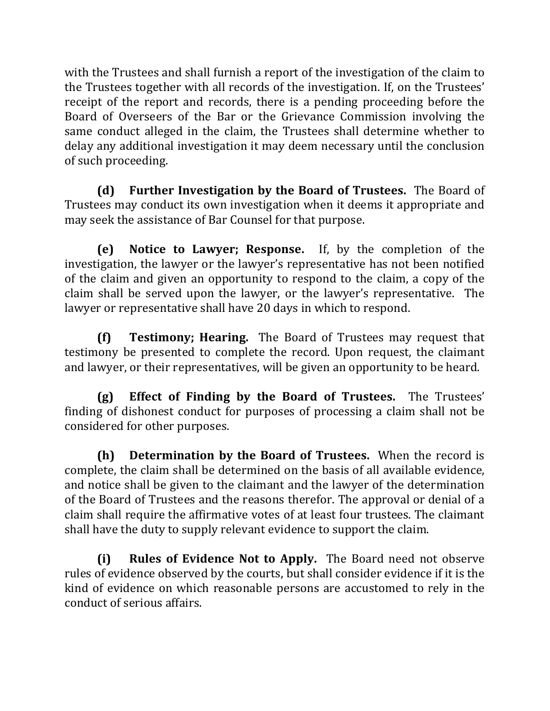with the Trustees and shall furnish a report of the investigation of the claim to the Trustees together with all records of the investigation. If, on the Trustees' receipt of the report and records, there is a pending proceeding before the Board of Overseers of the Bar or the Grievance Commission involving the same conduct alleged in the claim, the Trustees shall determine whether to delay any additional investigation it may deem necessary until the conclusion of such proceeding.

**(d)** Further Investigation by the Board of Trustees. The Board of Trustees may conduct its own investigation when it deems it appropriate and may seek the assistance of Bar Counsel for that purpose.

**(e)** Notice to Lawyer; Response. If, by the completion of the investigation, the lawyer or the lawyer's representative has not been notified of the claim and given an opportunity to respond to the claim, a copy of the claim shall be served upon the lawyer, or the lawyer's representative. The lawyer or representative shall have 20 days in which to respond.

**(f) Testimony; Hearing.** The Board of Trustees may request that testimony be presented to complete the record. Upon request, the claimant and lawyer, or their representatives, will be given an opportunity to be heard.

**(g)** Effect of Finding by the Board of Trustees. The Trustees' finding of dishonest conduct for purposes of processing a claim shall not be considered for other purposes.

**(h) Determination by the Board of Trustees.** When the record is complete, the claim shall be determined on the basis of all available evidence, and notice shall be given to the claimant and the lawyer of the determination of the Board of Trustees and the reasons therefor. The approval or denial of a claim shall require the affirmative votes of at least four trustees. The claimant shall have the duty to supply relevant evidence to support the claim.

**(i) Rules of Evidence Not to Apply.** The Board need not observe rules of evidence observed by the courts, but shall consider evidence if it is the kind of evidence on which reasonable persons are accustomed to rely in the conduct of serious affairs.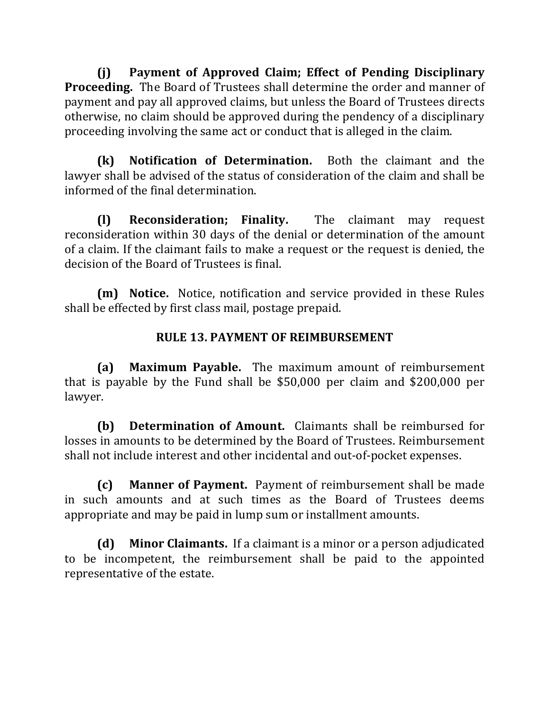**(j) Payment of Approved Claim; Effect of Pending Disciplinary Proceeding.** The Board of Trustees shall determine the order and manner of payment and pay all approved claims, but unless the Board of Trustees directs otherwise, no claim should be approved during the pendency of a disciplinary proceeding involving the same act or conduct that is alleged in the claim.

**(k)** Notification of Determination. Both the claimant and the lawyer shall be advised of the status of consideration of the claim and shall be informed of the final determination.

**(1) Reconsideration; Finality.** The claimant may request reconsideration within 30 days of the denial or determination of the amount of a claim. If the claimant fails to make a request or the request is denied, the decision of the Board of Trustees is final.

**(m)** Notice. Notice, notification and service provided in these Rules shall be effected by first class mail, postage prepaid.

### **RULE 13. PAYMENT OF REIMBURSEMENT**

**(a) Maximum Payable.** The maximum amount of reimbursement that is payable by the Fund shall be  $$50,000$  per claim and  $$200,000$  per lawyer.

**(b)** Determination of Amount. Claimants shall be reimbursed for losses in amounts to be determined by the Board of Trustees. Reimbursement shall not include interest and other incidental and out-of-pocket expenses.

**(c)** Manner of Payment. Payment of reimbursement shall be made in such amounts and at such times as the Board of Trustees deems appropriate and may be paid in lump sum or installment amounts.

**(d)** Minor Claimants. If a claimant is a minor or a person adjudicated to be incompetent, the reimbursement shall be paid to the appointed representative of the estate.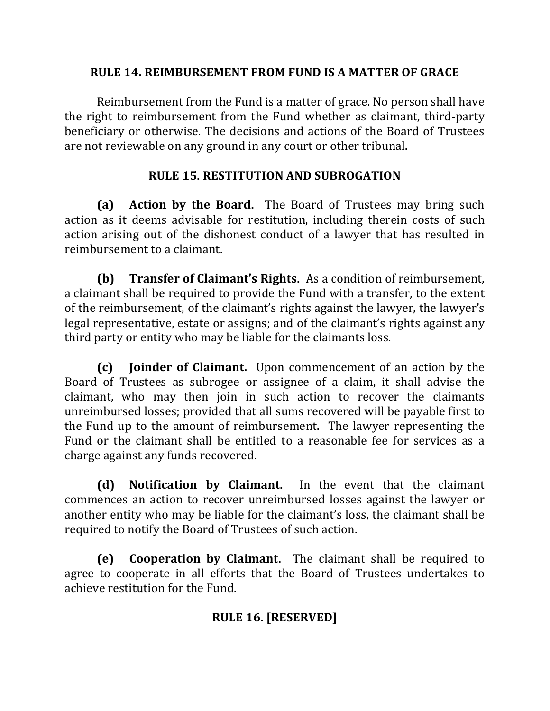### **RULE 14. REIMBURSEMENT FROM FUND IS A MATTER OF GRACE**

Reimbursement from the Fund is a matter of grace. No person shall have the right to reimbursement from the Fund whether as claimant, third-party beneficiary or otherwise. The decisions and actions of the Board of Trustees are not reviewable on any ground in any court or other tribunal.

### **RULE 15. RESTITUTION AND SUBROGATION**

**(a) Action by the Board.** The Board of Trustees may bring such action as it deems advisable for restitution, including therein costs of such action arising out of the dishonest conduct of a lawyer that has resulted in reimbursement to a claimant.

**(b)** Transfer of Claimant's Rights. As a condition of reimbursement, a claimant shall be required to provide the Fund with a transfer, to the extent of the reimbursement, of the claimant's rights against the lawyer, the lawyer's legal representative, estate or assigns; and of the claimant's rights against any third party or entity who may be liable for the claimants loss.

**(c) Joinder of Claimant.** Upon commencement of an action by the Board of Trustees as subrogee or assignee of a claim, it shall advise the claimant, who may then join in such action to recover the claimants unreimbursed losses; provided that all sums recovered will be payable first to the Fund up to the amount of reimbursement. The lawyer representing the Fund or the claimant shall be entitled to a reasonable fee for services as a charge against any funds recovered.

**(d)** Notification by Claimant. In the event that the claimant commences an action to recover unreimbursed losses against the lawyer or another entity who may be liable for the claimant's loss, the claimant shall be required to notify the Board of Trustees of such action.

**(e)** Cooperation by Claimant. The claimant shall be required to agree to cooperate in all efforts that the Board of Trustees undertakes to achieve restitution for the Fund.

## **RULE 16. [RESERVED]**